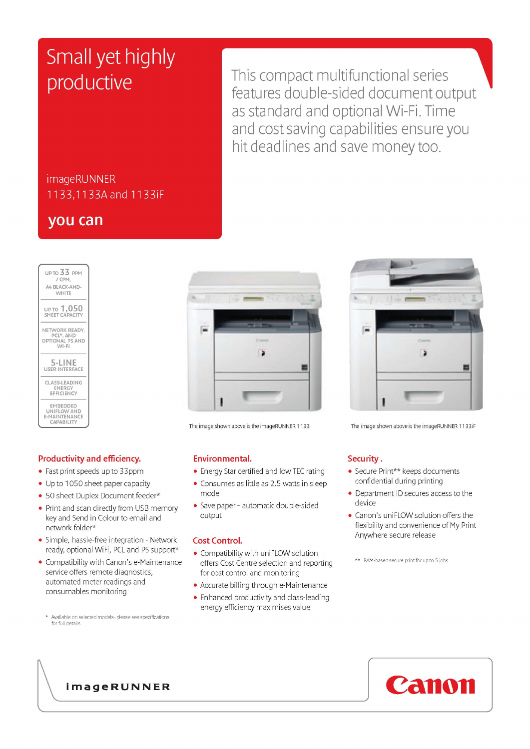# Small yet highly productive

This compact multifunctional series features double-sided document output as standard and optional Wi-Fi. Time and cost saving capabilities ensure you hit deadlines and save money too.

## imageRUNNER 1133,11 33A and 1133ÍF

## **you can**

| $UPTO$ $33$ PPM<br>$/$ CPM.<br>AA RI ACK-AND-<br><b>WHITE</b>               |
|-----------------------------------------------------------------------------|
| up to <b>1,050</b><br>SHEET CAPACITY                                        |
| NETWORK READY.<br>PCL*, AND<br>OPTIONAL PS AND<br>$M-I$                     |
| 5-LINE<br><b>USER INTERFACE</b>                                             |
| CLASS-LEADING<br><b>FNERGY</b><br>EFFICIENCY                                |
| <b>EMBEDDED</b><br>UNIFLOW AND<br><b>E-MAINTENANCE</b><br><b>CAPABILITY</b> |

## **Productivity and efficiency.**

- Fast print speeds up to 33ppm
- Up to 1050 sheet paper capacity
- 50 sheet Duplex Document feeder\*
- Print and scan directly from USB memory key and Send in Colour to email and network folder\*
- Simple, hassle-free integration Network ready, optional WiFi, PCL and PS support\*
- ^ Compatibility with Canon's e-Maintenance service offers remote diagnostics, automated meter readings and consumables monitoring

\* Available on selected models- please see specifications for full details



- **Environmental.**<br>• Energy Star certified and low TEC rating ^ Energy Star certified and low TEC rating
- **Consumes as little as 2.5 watts in sleep**
- mode<br>Cave p ^ Save paper - automatic double-sided output

### **Cost Control.**

- Compatibility with uniFLOW solution offers Cost Centre selection and reporting for cost control and monitoring
- ^ Accurate billing through e-Maintenance
- Enhanced productivity and class-leading energy efficiency maximises value



The image shown above is the imageRUNNER 1133 The image shown above is the imageRUNNER 1133iF

### **Security .**

- Secure Print\*\* keeps documents confidential during printing
- ^ Department ID secures access to the device
- Canon's uniFLOW solution offers the flexibility and convenience of My Print Anywhere secure release
- \*\* RAM-based secure print for up to 5 jobs